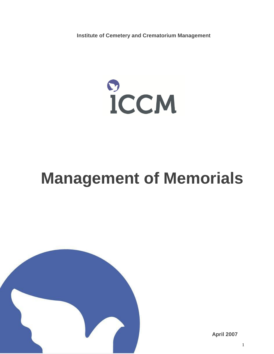**Institute of Cemetery and Crematorium Management**



# **Management of Memorials**



**April 2007**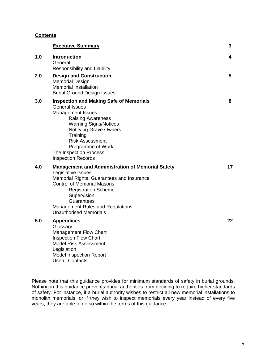# **Contents**

|     | <b>Executive Summary</b>                                                                                                                                                                                                                                                                                    | 3  |
|-----|-------------------------------------------------------------------------------------------------------------------------------------------------------------------------------------------------------------------------------------------------------------------------------------------------------------|----|
| 1.0 | Introduction<br>General<br><b>Responsibility and Liability</b>                                                                                                                                                                                                                                              | 4  |
| 2.0 | <b>Design and Construction</b><br><b>Memorial Design</b><br><b>Memorial Installation</b><br><b>Burial Ground Design Issues</b>                                                                                                                                                                              | 5  |
| 3.0 | <b>Inspection and Making Safe of Memorials</b><br><b>General Issues</b><br>Management Issues<br><b>Raising Awareness</b><br><b>Warning Signs/Notices</b><br><b>Notifying Grave Owners</b><br>Training<br><b>Risk Assessment</b><br>Programme of Work<br>The Inspection Process<br><b>Inspection Records</b> | 8  |
| 4.0 | <b>Management and Administration of Memorial Safety</b><br>Legislative Issues<br>Memorial Rights, Guarantees and Insurance<br><b>Control of Memorial Masons</b><br><b>Registration Scheme</b><br>Supervision<br>Guarantees<br><b>Management Rules and Regulations</b><br><b>Unauthorised Memorials</b>      | 17 |
| 5.0 | <b>Appendices</b><br>Glossary<br>Management Flow Chart<br><b>Inspection Flow Chart</b><br><b>Model Risk Assessment</b><br>Legislation                                                                                                                                                                       | 22 |

Please note that this guidance provides for minimum standards of safety in burial grounds. Nothing in this guidance prevents burial authorities from deciding to require higher standards of safety. For instance, if a burial authority wishes to restrict all new memorial installations to monolith memorials, or if they wish to inspect memorials every year instead of every five years, they are able to do so within the terms of this guidance.

Model Inspection Report

Useful Contacts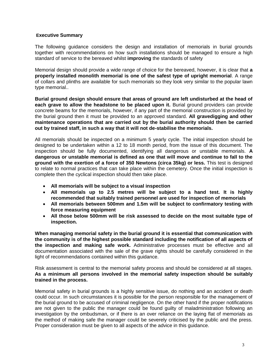# <span id="page-2-0"></span>**Executive Summary**

The following guidance considers the design and installation of memorials in burial grounds together with recommendations on how such installations should be managed to ensure a high standard of service to the bereaved whilst **improving** the standards of safety

Memorial design should provide a wide range of choice for the bereaved, however, it is clear that **a properly installed monolith memorial is one of the safest type of upright memorial**. A range of collars and plinths are available for such memorials so they look very similar to the popular lawn type memorial..

**Burial ground design should ensure that areas of ground are left undisturbed at the head of each grave to allow the headstone to be placed upon it.** Burial ground providers can provide concrete beams for the memorials, however, if any part of the memorial construction is provided by the burial ground then it must be provided to an approved standard. **All gravedigging and other maintenance operations that are carried out by the burial authority should then be carried out by trained staff, in such a way that it will not de-stabilise the memorials.**

All memorials should be inspected on a minimum 5 yearly cycle. The initial inspection should be designed to be undertaken within a 12 to 18 month period, from the issue of this document. The inspection should be fully documented, identifying all dangerous or unstable memorials. **A dangerous or unstable memorial is defined as one that will move and continue to fall to the ground with the exertion of a force of 350 Newtons (circa 35kg) or less.** This test is designed to relate to normal practices that can take place within the cemetery. Once the initial inspection is complete then the cyclical inspection should then take place.

- **All memorials will be subject to a visual inspection**
- **All memorials up to 2.5 metres will be subject to a hand test. It is highly recommended that suitably trained personnel are used for inspection of memorials**
- **All memorials between 500mm and 1.5m will be subject to confirmatory testing with force measuring equipment**
- **All those below 500mm will be risk assessed to decide on the most suitable type of inspection.**

**When managing memorial safety in the burial ground it is essential that communication with the community is of the highest possible standard including the notification of all aspects of the inspection and making safe work.** Administrative processes must be effective and all documentation associated with the sale of the grave rights should be carefully considered in the light of recommendations contained within this guidance.

Risk assessment is central to the memorial safety process and should be considered at all stages. **As a minimum all persons involved in the memorial safety inspection should be suitably trained in the process.**

Memorial safety in burial grounds is a highly sensitive issue, do nothing and an accident or death could occur. In such circumstances it is possible for the person responsible for the management of the burial ground to be accused of criminal negligence. On the other hand if the proper notifications are not given to the public the manager could be found guilty of maladministration following an investigation by the ombudsman, or if there is an over reliance on the laying flat of memorials as the method of making safe the manager could be severely criticised by the public and the press. Proper consideration must be given to all aspects of the advice in this guidance.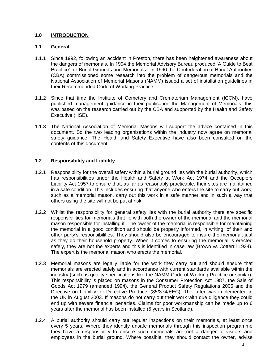# **1.0 INTRODUCTION**

# **1.1 General**

- 1.1.1 Since 1992, following an accident in Preston, there has been heightened awareness about the dangers of memorials. In 1994 the Memorial Advisory Bureau produced "A Guide to Best Practice" for Burial Grounds and Memorials. In 1996 the Confederation of Burial Authorities (CBA) commissioned some research into the problem of dangerous memorials and the National Association of Memorial Masons (NAMM) issued a set of installation guidelines in their Recommended Code of Working Practice.
- 1.1.2 Since that time the Institute of Cemetery and Crematorium Management (ICCM), have published management guidance in their publication the Management of Memorials, this was based on the research carried out by the CBA and supported by the Health and Safety Executive (HSE).
- 1.1.3 The National Association of Memorial Masons will support the advice contained in this document. So the two leading organisations within the industry now agree on memorial safety guidance. The Health and Safety Executive have also been consulted on the contents of this document.

# **1.2 Responsibility and Liability**

- 1.2.1 Responsibility for the overall safety within a burial ground lies with the burial authority, which has responsibilities under the Health and Safety at Work Act 1974 and the Occupiers Liability Act 1957 to ensure that, as far as reasonably practicable, their sites are maintained in a safe condition. This includes ensuring that anyone who enters the site to carry out work, such as a memorial mason, carry out this work in a safe manner and in such a way that others using the site will not be put at risk.
- 1.2.2 Whilst the responsibility for general safety lies with the burial authority there are specific responsibilities for memorials that lie with both the owner of the memorial and the memorial mason responsible for installing it. The owner of the memorial is responsible for maintaining the memorial in a good condition and should be properly informed, in writing, of their and other party"s responsibilities. They should also be encouraged to insure the memorial, just as they do their household property. When it comes to ensuring the memorial is erected safely, they are not the experts and this is identified in case law (Brown vs Cotterril 1934). The expert is the memorial mason who erects the memorial.
- 1.2.3 Memorial masons are legally liable for the work they carry out and should ensure that memorials are erected safely and in accordance with current standards available within the industry (such as quality specifications like the NAMM Code of Working Practice or similar). This responsibility is placed on masons in the Consumer Protection Act 1987, the Sale of Goods Act 1979 (amended 1994), the General Product Safety Regulations 2005 and the Directive on Liability for Defective Products (85/374/EEC). The latter was implemented in the UK in August 2003. If masons do not carry out their work with due diligence they could end up with severe financial penalties. Claims for poor workmanship can be made up to 6 years after the memorial has been installed (5 years in Scotland).
- 1.2.4 A burial authority should carry out regular inspections on their memorials, at least once every 5 years. Where they identify unsafe memorials through this inspection programme they have a responsibility to ensure such memorials are not a danger to visitors and employees in the burial ground. Where possible, they should contact the owner, advise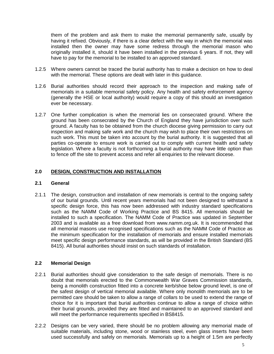them of the problem and ask them to make the memorial permanently safe, usually by having it refixed. Obviously, if there is a clear defect with the way in which the memorial was installed then the owner may have some redress through the memorial mason who originally installed it, should it have been installed in the previous 6 years. If not, they will have to pay for the memorial to be installed to an approved standard.

- 1.2.5 Where owners cannot be traced the burial authority has to make a decision on how to deal with the memorial. These options are dealt with later in this guidance.
- 1.2.6 Burial authorities should record their approach to the inspection and making safe of memorials in a suitable memorial safety policy. Any health and safety enforcement agency (generally the HSE or local authority) would require a copy of this should an investigation ever be necessary.
- 1.2.7 One further complication is when the memorial lies on consecrated ground. Where the ground has been consecrated by the Church of England they have jurisdiction over such ground. A faculty has to be obtained from the church diocese giving permission to carry out inspection and making safe work and the church may wish to place their own restrictions on such work. This must be taken into account by the burial authority. It is suggested that all parties co-operate to ensure work is carried out to comply with current health and safety legislation. Where a faculty is not forthcoming a burial authority may have little option than to fence off the site to prevent access and refer all enquiries to the relevant diocese.

# **2.0 DESIGN, CONSTRUCTION AND INSTALLATION**

# **2.1 General**

2.1.1 The design, construction and installation of new memorials is central to the ongoing safety of our burial grounds. Until recent years memorials had not been designed to withstand a specific design force, this has now been addressed with industry standard specifications such as the NAMM Code of Working Practice and BS 8415. All memorials should be installed to such a specification. The NAMM Code of Practice was updated in September 2003 and is available as a free download from www.namm.org.uk. It is recommended that all memorial masons use recognised specifications such as the NAMM Code of Practice as the minimum specification for the installation of memorials and ensure installed memorials meet specific design performance standards, as will be provided in the British Standard (BS 8415). All burial authorities should insist on such standards of installation.

# **2.2 Memorial Design**

- 2.2.1 Burial authorities should give consideration to the safe design of memorials. There is no doubt that memorials erected to the Commonwealth War Graves Commission standards, being a monolith construction fitted into a concrete kerb/shoe below ground level, is one of the safest design of vertical memorial available. Where only monolith memorials are to be permitted care should be taken to allow a range of collars to be used to extend the range of choice for it is important that burial authorities continue to allow a range of choice within their burial grounds, provided they are fitted and maintained to an approved standard and will meet the performance requirements specified in BS8415.
- 2.2.2 Designs can be very varied, there should be no problem allowing any memorial made of suitable materials, including stone, wood or stainless steel, even glass inserts have been used successfully and safely on memorials. Memorials up to a height of 1.5m are perfectly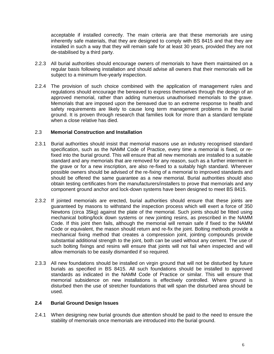acceptable if installed correctly. The main criteria are that these memorials are using inherently safe materials, that they are designed to comply with BS 8415 and that they are installed in such a way that they will remain safe for at least 30 years, provided they are not de-stabilised by a third party.

- 2.2.3 All burial authorities should encourage owners of memorials to have them maintained on a regular basis following installation and should advise all owners that their memorials will be subject to a minimum five-yearly inspection.
- 2.2.4 The provision of such choice combined with the application of management rules and regulations should encourage the bereaved to express themselves through the design of an approved memorial, rather than adding numerous unauthorised memorials to the grave. Memorials that are imposed upon the bereaved due to an extreme response to health and safety requirements are likely to cause long term management problems in the burial ground. It is proven through research that families look for more than a standard template when a close relative has died.

# 2.3 **Memorial Construction and Installation**

- 2.3.1 Burial authorities should insist that memorial masons use an industry recognised standard specification, such as the NAMM Code of Practice, every time a memorial is fixed, or refixed into the burial ground. This will ensure that all new memorials are installed to a suitable standard and any memorials that are removed for any reason, such as a further interment in the grave or for a new inscription, are also re-fixed to a suitably high standard. Wherever possible owners should be advised of the re-fixing of a memorial to improved standards and should be offered the same guarantee as a new memorial. Burial authorities should also obtain testing certificates from the manufacturers/installers to prove that memorials and any component ground anchor and lock-down systems have been designed to meet BS 8415.
- 2.3.2 If jointed memorials are erected, burial authorities should ensure that these joints are guaranteed by masons to withstand the inspection process which will exert a force of 350 Newtons (circa 35kg) against the plate of the memorial. Such joints should be fitted using mechanical bolting/lock down systems or new jointing resins, as prescribed in the NAMM Code. If this joint then fails, although the memorial will remain safe if fixed to the NAMM Code or equivalent, the mason should return and re-fix the joint. Bolting methods provide a mechanical fixing method that creates a compression joint, jointing compounds provide substantial additional strength to the joint, both can be used without any cement. The use of such bolting fixings and resins will ensure that joints will not fail when inspected and will allow memorials to be easily dismantled if so required.
- 2.3.3 All new foundations should be installed on virgin ground that will not be disturbed by future burials as specified in BS 8415. All such foundations should be installed to approved standards as indicated in the NAMM Code of Practice or similar. This will ensure that memorial subsidence on new installations is effectively controlled. Where ground is disturbed then the use of stretcher foundations that will span the disturbed area should be used.

# **2.4 Burial Ground Design Issues**

2.4.1 When designing new burial grounds due attention should be paid to the need to ensure the stability of memorials once memorials are introduced into the burial ground.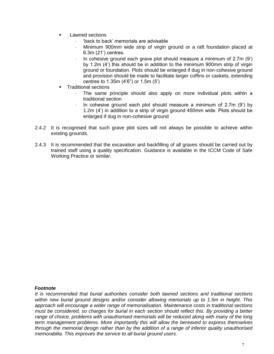- **Lawned sections** 
	- "back to back" memorials are advisable
	- Minimum 900mm wide strip of virgin ground or a raft foundation placed at 6.3m (21") centres.
	- In cohesive ground each grave plot should measure a minimum of 2.7m (9") by 1.2m (4") this should be in addition to the minimum 900mm strip of virgin ground or foundation. Plots should be enlarged if dug in non-cohesive ground and provision should be made to facilitate larger coffins or caskets, extending centres to 1.35m (4"6") or 1.5m (5")
- **Traditional sections** 
	- The same principle should also apply on more individual plots within a traditional section
	- In cohesive ground each plot should measure a minimum of  $2.7m$  (9') by 1.2m (4") in addition to a strip of virgin ground 450mm wide. Plots should be enlarged if dug in non-cohesive ground
- 2.4.2 It is recognised that such grave plot sizes will not always be possible to achieve within existing grounds.
- 2.4.3 It is recommended that the excavation and backfilling of all graves should be carried out by trained staff using a quality specification. Guidance is available in the ICCM Code of Safe Working Practice or similar.

# *Footnote*

*It is recommended that burial authorities consider both lawned sections and traditional sections within new burial ground designs and/or consider allowing memorials up to 1.5m in height. This approach will encourage a wider range of memorialisation. Maintenance costs in traditional sections must be considered, so charges for burial in each section should reflect this. By providing a better*  range of choice, problems with unauthorised memorials will be reduced along with many of the long *term management problems. More importantly this will allow the bereaved to express themselves through the memorial design rather than by the addition of a range of inferior quality unauthorised memorabilia. This improves the service to all burial ground users.*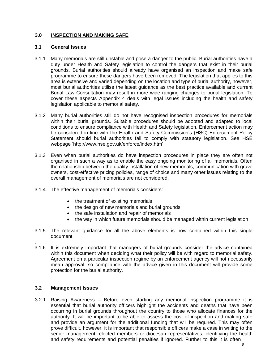# **3.0 INSPECTION AND MAKING SAFE**

# **3.1 General Issues**

- 3.1.1 Many memorials are still unstable and pose a danger to the public, Burial authorities have a duty under Health and Safety legislation to control the dangers that exist in their burial grounds. Burial authorities should already have organised an inspection and make safe programme to ensure these dangers have been removed. The legislation that applies to this area is extensive and varied depending on the location and type of burial authority, however, most burial authorities utilise the latest guidance as the best practice available and current Burial Law Consultation may result in more wide ranging changes to burial legislation. To cover these aspects Appendix 4 deals with legal issues including the health and safety legislation applicable to memorial safety.
- 3.1.2 Many burial authorities still do not have recognised inspection procedures for memorials within their burial grounds. Suitable procedures should be adopted and adapted to local conditions to ensure compliance with Health and Safety legislation. Enforcement action may be considered in line with the Health and Safety Commission's (HSC) Enforcement Policy Statement should burial authorities fail to comply with statutory legislation. See HSE webpage "http://www.hse.gov.uk/enforce/index.htm"
- 3.1.3 Even when burial authorities do have inspection procedures in place they are often not organised in such a way as to enable the easy ongoing monitoring of all memorials. Often the relationship between the quality installation of new memorials, communication with grave owners, cost-effective pricing policies, range of choice and many other issues relating to the overall management of memorials are not considered.
- 3.1.4 The effective management of memorials considers:
	- the treatment of existing memorials
	- the design of new memorials and burial grounds
	- the safe installation and repair of memorials
	- the way in which future memorials should be managed within current legislation
- 3.1.5 The relevant guidance for all the above elements is now contained within this single document
- 3.1.6 It is extremely important that managers of burial grounds consider the advice contained within this document when deciding what their policy will be with regard to memorial safety. Agreement on a particular inspection regime by an enforcement agency will not necessarily mean approval, so compliance with the advice given in this document will provide some protection for the burial authority.

# **3.2 Management Issues**

.

3.2.1 Raising Awareness – Before even starting any memorial inspection programme it is essential that burial authority officers highlight the accidents and deaths that have been occurring in burial grounds throughout the country to those who allocate finances for the authority. It will be important to be able to assess the cost of inspection and making safe and provide an argument for the additional funding that will be required. This may often prove difficult, however, it is important that responsible officers make a case in writing to the senior management, elected members or diocesan representatives, identifying the health and safety requirements and potential penalties if ignored. Further to this it is often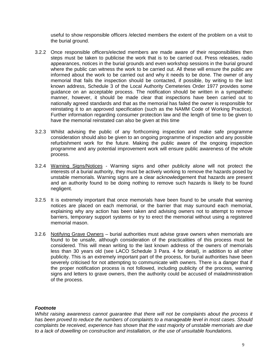useful to show responsible officers /elected members the extent of the problem on a visit to the burial ground.

- 3.2.2 Once responsible officers/elected members are made aware of their responsibilities then steps must be taken to publicise the work that is to be carried out. Press releases, radio appearances, notices in the burial grounds and even workshop sessions in the burial ground where the public can witness the work to be carried out. All these will ensure the public are informed about the work to be carried out and why it needs to be done. The owner of any memorial that fails the inspection should be contacted, if possible, by writing to the last known address, Schedule 3 of the Local Authority Cemeteries Order 1977 provides some guidance on an acceptable process. The notification should be written in a sympathetic manner, however, it should be made clear that inspections have been carried out to nationally agreed standards and that as the memorial has failed the owner is responsible for reinstating it to an approved specification (such as the NAMM Code of Working Practice). Further information regarding consumer protection law and the length of time to be given to have the memorial reinstated can also be given at this time
- 3.2.3 Whilst advising the public of any forthcoming inspection and make safe programme consideration should also be given to an ongoing programme of inspection and any possible refurbishment work for the future. Making the public aware of the ongoing inspection programme and any potential improvement work will ensure public awareness of the whole process.
- 3.2.4 Warning Signs/Notices Warning signs and other publicity alone will not protect the interests of a burial authority, they must be actively working to remove the hazards posed by unstable memorials. Warning signs are a clear acknowledgement that hazards are present and an authority found to be doing nothing to remove such hazards is likely to be found negligent.
- 3.2.5 It is extremely important that once memorials have been found to be unsafe that warning notices are placed on each memorial, or the barrier that may surround each memorial, explaining why any action has been taken and advising owners not to attempt to remove barriers, temporary support systems or try to erect the memorial without using a registered memorial mason.
- 3.2.6 Notifying Grave Owners burial authorities must advise grave owners when memorials are found to be unsafe, although consideration of the practicalities of this process must be considered. This will mean writing to the last known address of the owners of memorials less than 30 years old (see LACO Schedule 3 Para. 4 for detail), in addition to all other publicity. This is an extremely important part of the process, for burial authorities have been severely criticised for not attempting to communicate with owners. There is a danger that if the proper notification process is not followed, including publicity of the process, warning signs and letters to grave owners, then the authority could be accused of maladministration of the process.

# *Footnote*

*Whilst raising awareness cannot guarantee that there will not be complaints about the process it has been proved to reduce the numbers of complaints to a manageable level in most cases. Should complaints be received, experience has shown that the vast majority of unstable memorials are due to a lack of dowelling on construction and installation, or the use of unsuitable foundations.*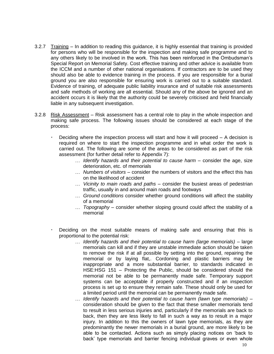- 3.2.7 Training In addition to reading this guidance, it is highly essential that training is provided for persons who will be responsible for the inspection and making safe programme and to any others likely to be involved in the work. This has been reinforced in the Ombudsman"s Special Report on Memorial Safety. Cost effective training and other advice is available from the ICCM and a number of other national organisations. If contractors are to be used they should also be able to evidence training in the process. If you are responsible for a burial ground you are also responsible for ensuring work is carried out to a suitable standard. Evidence of training, of adequate public liability insurance and of suitable risk assessments and safe methods of working are all essential. Should any of the above be ignored and an accident occurs it is likely that the authority could be severely criticised and held financially liable in any subsequent investigation.
- 3.2.8 Risk Assessment Risk assessment has a central role to play in the whole inspection and making safe process. The following issues should be considered at each stage of the process:
	- Deciding where the inspection process will start and how it will proceed A decision is required on where to start the inspection programme and in what order the work is carried out. The following are some of the areas to be considered as part of the risk assessment (for further detail refer to Appendix 7):
		- *Identify hazards and their potential to cause harm* consider the age, size deterioration, etc. of memorials
		- *Numbers of visitors* consider the numbers of visitors and the effect this has on the likelihood of accident
		- *Vicinity to main roads and paths* consider the busiest areas of pedestrian traffic, usually in and around main roads and footways
		- *Ground conditions* consider whether ground conditions will affect the stability of a memorial
		- *Topography* consider whether sloping ground could affect the stability of a memorial
	- Deciding on the most suitable means of making safe and ensuring that this is proportional to the potential risk:
		- *Identify hazards and their potential to cause harm (large memorials)* large memorials can kill and if they are unstable immediate action should be taken to remove the risk if at all possible by setting into the ground, repairing the memorial or by laying flat,. Cordoning and plastic barriers may be inappropriate and a more substantial barrier, to standards indicated in HSE:HSG 151 – Protecting the Public, should be considered should the memorial not be able to be permanently made safe. Temporary support systems can be acceptable if properly constructed and if an inspection process is set up to ensure they remain safe. These should only be used for a limited period until the memorial can be permanently made safe.
		- *Identify hazards and their potential to cause harm (lawn type memorials)* consideration should be given to the fact that these smaller memorials tend to result in less serious injuries and, particularly if the memorials are back to back, then they are less likely to fall in such a way as to result in a major injury. In addition to this the owners of lawn type memorials, as they are predominantly the newer memorials in a burial ground, are more likely to be able to be contacted. Actions such as simply placing notices on "back to back" type memorials and barrier fencing individual graves or even whole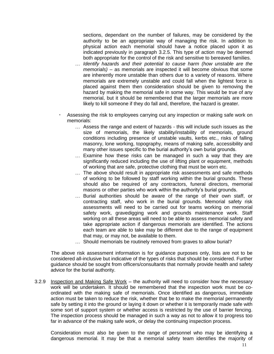sections, dependant on the number of failures, may be considered by the authority to be an appropriate way of managing the risk. In addition to physical action each memorial should have a notice placed upon it as indicated previously in paragraph 3.2.5. This type of action may be deemed both appropriate for the control of the risk and sensitive to bereaved families.

- *Identify hazards and their potential to cause harm (how unstable are the memorials)* – as memorials are inspected it will become obvious that some are inherently more unstable than others due to a variety of reasons. Where memorials are extremely unstable and could fall when the lightest force is placed against them then consideration should be given to removing the hazard by making the memorial safe in some way. This would be true of any memorial, but it should be remembered that the larger memorials are more likely to kill someone if they do fall and, therefore, the hazard is greater.
- Assessing the risk to employees carrying out any inspection or making safe work on memorials:
	- Assess the range and extent of hazards this will include such issues as the size of memorials, the likely stability/instability of memorials, ground conditions including presence of unstable vaults, kerbs etc., risks of falling masonry, lone working, topography, means of making safe, accessibility and many other issues specific to the burial authority's own burial grounds.
	- Examine how these risks can be managed in such a way that they are significantly reduced including the use of lifting plant or equipment, methods of working that are safe, protective clothing that must be worn etc.
	- The above should result in appropriate risk assessments and safe methods of working to be followed by staff working within the burial grounds. These should also be required of any contractors, funeral directors, memorial masons or other parties who work within the authority's burial grounds.
	- Burial authorities should be aware of the range of their own staff, or contracting staff, who work in the burial grounds. Memorial safety risk assessments will need to be carried out for teams working on memorial safety work, gravedigging work and grounds maintenance work. Staff working on all these areas will need to be able to assess memorial safety and take appropriate action if dangerous memorials are identified. The actions each team are able to take may be different due to the range of equipment that may, or may not, be available to them.
	- ... Should memorials be routinely removed from graves to allow burial?

The above risk assessment information is for guidance purposes only, lists are not to be considered all-inclusive but indicative of the types of risks that should be considered. Further guidance should be sought from officers/consultants that normally provide health and safety advice for the burial authority.

3.2.9 Inspection and Making Safe Work – the authority will need to consider how the necessary work will be undertaken. It should be remembered that the inspection work must be coordinated with the making safe of memorials. Once identified as dangerous, immediate action must be taken to reduce the risk, whether that be to make the memorial permanently safe by setting it into the ground or laying it down or whether it is temporarily made safe with some sort of support system or whether access is restricted by the use of barrier fencing. The inspection process should be managed in such a way as not to allow it to progress too far in advance of the making safe work, or delay the continuing inspection process.

Consideration must also be given to the range of personnel who may be identifying a dangerous memorial. It may be that a memorial safety team identifies the majority of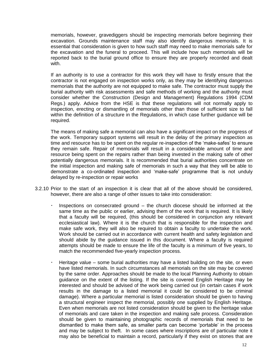memorials, however, gravediggers should be inspecting memorials before beginning their excavation. Grounds maintenance staff may also identify dangerous memorials. It is essential that consideration is given to how such staff may need to make memorials safe for the excavation and the funeral to proceed. This will include how such memorials will be reported back to the burial ground office to ensure they are properly recorded and dealt with.

If an authority is to use a contractor for this work they will have to firstly ensure that the contractor is not engaged on inspection works only, as they may be identifying dangerous memorials that the authority are not equipped to make safe. The contractor must supply the burial authority with risk assessments and safe methods of working and the authority must consider whether the Construction (Design and Management) Regulations 1994 (CDM Regs.) apply. Advice from the HSE is that these regulations will not normally apply to inspection, erecting or dismantling of memorials other than those of sufficient size to fall within the definition of a structure in the Regulations, in which case further guidance will be required.

The means of making safe a memorial can also have a significant impact on the progress of the work. Temporary support systems will result in the delay of the primary inspection as time and resource has to be spent on the regular re-inspection of the "make-safes" to ensure they remain safe. Repair of memorials will result in a considerable amount of time and resource being spent on the repairs rather than being invested in the making safe of other potentially dangerous memorials. It is recommended that burial authorities concentrate on the initial inspection and making safe of memorials in such a way that they will be able to demonstrate a co-ordinated inspection and "make-safe" programme that is not unduly delayed by re-inspection or repair works

- 3.2.10 Prior to the start of an inspection it is clear that all of the above should be considered, however, there are also a range of other issues to take into consideration:
	- Inspections on consecrated ground the church diocese should be informed at the same time as the public or earlier, advising them of the work that is required. It is likely that a faculty will be required, (this should be considered in conjunction any relevant ecclesiastical law). Where it is the church that is responsible for the inspection and make safe work, they will also be required to obtain a faculty to undertake the work. Work should be carried out in accordance with current health and safety legislation and should abide by the guidance issued in this document. Where a faculty is required attempts should be made to ensure the life of the faculty is a minimum of five years, to match the recommended five-yearly inspection process.
	- Heritage value some burial authorities may have a listed building on the site, or even have listed memorials. In such circumstances all memorials on the site may be covered by the same order. Approaches should be made to the local Planning Authority to obtain guidance on the extent of the listing. If the site is covered English Heritage may be interested and should be advised of the work being carried out (in certain cases if work results in the damage to a listed memorial it could be considered to be criminal damage). Where a particular memorial is listed consideration should be given to having a structural engineer inspect the memorial, possibly one supplied by English Heritage. Even when memorials are not listed consideration should be given to the heritage value of memorials and care taken in the inspection and making safe process. Consideration should be given to maintaining photographic records of memorials that need to be dismantled to make them safe, as smaller parts can become "portable" in the process and may be subject to theft. In some cases where inscriptions are of particular note it may also be beneficial to maintain a record, particularly if they exist on stones that are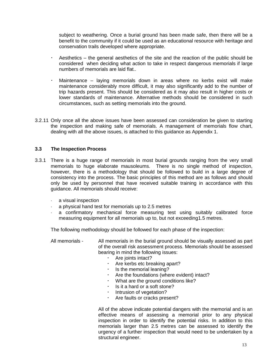subject to weathering. Once a burial ground has been made safe, then there will be a benefit to the community if it could be used as an educational resource with heritage and conservation trails developed where appropriate.

- Aesthetics the general aesthetics of the site and the reaction of the public should be considered when deciding what action to take in respect dangerous memorials if large numbers of memorials are laid flat..
- Maintenance laying memorials down in areas where no kerbs exist will make maintenance considerably more difficult, it may also significantly add to the number of trip hazards present. This should be considered as it may also result in higher costs or lower standards of maintenance. Alternative methods should be considered in such circumstances, such as setting memorials into the ground.
- 3.2.11 Only once all the above issues have been assessed can consideration be given to starting the inspection and making safe of memorials. A management of memorials flow chart, dealing with all the above issues, is attached to this guidance as Appendix 1.

# **3.3 The Inspection Process**

- 3.3.1 There is a huge range of memorials in most burial grounds ranging from the very small memorials to huge elaborate mausoleums. There is no single method of inspection, however, there is a methodology that should be followed to build in a large degree of consistency into the process. The basic principles of this method are as follows and should only be used by personnel that have received suitable training in accordance with this guidance. All memorials should receive:
	- a visual inspection
	- a physical hand test for memorials up to 2.5 metres
	- a confirmatory mechanical force measuring test using suitably calibrated force measuring equipment for all memorials up to, but not exceeding1.5 metres.

The following methodology should be followed for each phase of the inspection:

All memorials - All memorials in the burial ground should be visually assessed as part of the overall risk assessment process. Memorials should be assessed bearing in mind the following issues:

- Are joints intact?
- Are kerbs etc breaking apart?
- $\cdot$  Is the memorial leaning?
- Are the foundations (where evident) intact?
- What are the ground conditions like?
- $\cdot$  Is it a hard or a soft stone?
- $\cdot$  Intrusion of vegetation?
- Are faults or cracks present?

All of the above indicate potential dangers with the memorial and is an effective means of assessing a memorial prior to any physical inspection in order to identify the potential risks. In addition to this memorials larger than 2.5 metres can be assessed to identify the urgency of a further inspection that would need to be undertaken by a structural engineer.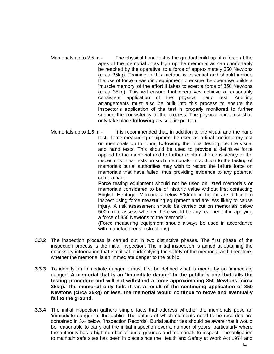- Memorials up to 2.5 m The physical hand test is the gradual build up of a force at the apex of the memorial or as high up the memorial as can comfortably be reached by the operative, to a force of approximately 350 Newtons (circa 35kg). Training in this method is essential and should include the use of force measuring equipment to ensure the operative builds a "muscle memory" of the effort it takes to exert a force of 350 Newtons (circa 35kg). This will ensure that operatives achieve a reasonably consistent application of the physical hand test. Auditing arrangements must also be built into this process to ensure the inspector"s application of the test is properly monitored to further support the consistency of the process. The physical hand test shall only take place **following** a visual inspection.
- Memorials up to 1.5 m It is recommended that, in addition to the visual and the hand test, force measuring equipment be used as a final confirmatory test on memorials up to 1.5m, **following** the initial testing, i.e. the visual and hand tests. This should be used to provide a definitive force applied to the memorial and to further confirm the consistency of the inspector"s initial tests on such memorials. In addition to the testing of memorials burial authorities may wish to record the failure force on memorials that have failed, thus providing evidence to any potential complainant. Force testing equipment should not be used on listed memorials or

memorials considered to be of historic value without first contacting English Heritage. Memorials below 500mm in height are difficult to inspect using force measuring equipment and are less likely to cause injury. A risk assessment should be carried out on memorials below 500mm to assess whether there would be any real benefit in applying a force of 350 Newtons to the memorial.

(Force measuring equipment should always be used in accordance with manufacturer's instructions).

- 3.3.2 The inspection process is carried out in two distinctive phases. The first phase of the inspection process is the initial inspection. The initial inspection is aimed at obtaining the necessary information that is critical to identifying the safety of the memorial and, therefore, whether the memorial is an immediate danger to the public.
- **3.3.3** To identify an immediate danger it must first be defined what is meant by an "immediate danger". **A memorial that is an "immediate danger" to the public is one that fails the testing procedure and will not withstand a force approximating 350 Newtons (circa 35kg). The memorial only fails if, as a result of the continuing application of 350 Newtons (circa 35kg) or less, the memorial would continue to move and eventually fall to the ground.**
- **3.3.4** The initial inspection gathers simple facts that address whether the memorials pose an "immediate danger" to the public. The details of which elements need to be recorded are contained in 3.4 below, "Inspection Records". Burial authorities should be aware that it would be reasonable to carry out the initial inspection over a number of years, particularly where the authority has a high number of burial grounds and memorials to inspect. The obligation to maintain safe sites has been in place since the Health and Safety at Work Act 1974 and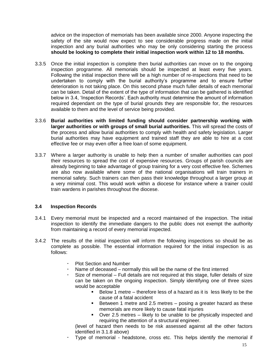advice on the inspection of memorials has been available since 2000. Anyone inspecting the safety of the site would now expect to see considerable progress made on the initial inspection and any burial authorities who may be only considering starting the process **should be looking to complete their initial inspection work within 12 to 18 months.** 

- 3.3.5 Once the initial inspection is complete then burial authorities can move on to the ongoing inspection programme. All memorials should be inspected at least every five years. Following the initial inspection there will be a high number of re-inspections that need to be undertaken to comply with the burial authority"s programme and to ensure further deterioration is not taking place. On this second phase much fuller details of each memorial can be taken. Detail of the extent of the type of information that can be gathered is identified below in 3.4, 'Inspection Records'. Each authority must determine the amount of information required dependant on the type of burial grounds they are responsible for, the resources available to them and the level of service being provided.
- 3.3.6 **Burial authorities with limited funding should consider partnership working with larger authorities or with groups of small burial authorities.** This will spread the costs of the process and allow burial authorities to comply with health and safety legislation. Larger burial authorities may have equipment and trained staff they are able to hire at a cost effective fee or may even offer a free loan of some equipment.
- 3.3.7 Where a larger authority is unable to help then a number of smaller authorities can pool their resources to spread the cost of expensive resources. Groups of parish councils are already beginning to take advantage of group training for a very cost effective fee. Schemes are also now available where some of the national organisations will train trainers in memorial safety. Such trainers can then pass their knowledge throughout a larger group at a very minimal cost. This would work within a diocese for instance where a trainer could train wardens in parishes throughout the diocese.

# **3.4 Inspection Records**

- 3.4.1 Every memorial must be inspected and a record maintained of the inspection. The initial inspection to identify the immediate dangers to the public does not exempt the authority from maintaining a record of every memorial inspected.
- 3.4.2 The results of the initial inspection will inform the following inspections so should be as complete as possible. The essential information required for the initial inspection is as follows:
	- Plot Section and Number
	- Name of deceased normally this will be the name of the first interred
	- Size of memorial Full details are not required at this stage, fuller details of size can be taken on the ongoing inspection. Simply identifying one of three sizes would be acceptable
		- Below 1 metre therefore less of a hazard as it is less likely to be the cause of a fatal accident
		- **Between 1 metre and 2.5 metres posing a greater hazard as these** memorials are more likely to cause fatal injuries
		- Over 2.5 metres likely to be unable to be physically inspected and requiring the attention of a structural engineer.

(level of hazard then needs to be risk assessed against all the other factors identified in 3.1.8 above)

Type of memorial - headstone, cross etc. This helps identify the memorial if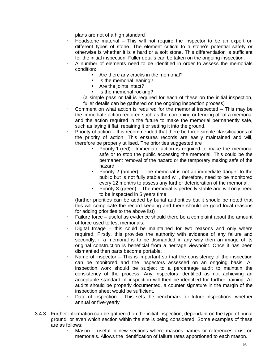plans are not of a high standard

- Headstone material This will not require the inspector to be an expert on different types of stone. The element critical to a stone"s potential safety or otherwise is whether it is a hard or a soft stone. This differentiation is sufficient for the initial inspection. Fuller details can be taken on the ongoing inspection.
- A number of elements need to be identified in order to assess the memorials condition:
	- **F** Are there any cracks in the memorial?
	- **IF** Is the memorial leaning?
	- **Are the joints intact?**
	- Is the memorial rocking?

(a simple pass or fail is required for each of these on the initial inspection, fuller details can be gathered on the ongoing inspection process)

- Comment on what action is required for the memorial inspected This may be the immediate action required such as the cordoning or fencing off of a memorial and the action required in the future to make the memorial permanently safe, such as laying it flat, repairing it or setting it into the ground.
- Priority of action It is recommended that there be three simple classifications of the priority of action. This ensures records are easily maintained and will, therefore be properly utilised. The priorities suggested are :
	- **Priority 1 (red) Immediate action is required to make the memorial** safe or to stop the public accessing the memorial. This could be the permanent removal of the hazard or the temporary making safe of the hazard.
	- **Priority 2 (amber) The memorial is not an immediate danger to the** public but is not fully stable and will, therefore, need to be monitored every 12 months to assess any further deterioration of the memorial.
	- Priority 3 (green) The memorial is perfectly stable and will only need to be inspected in 5 years time.

(further priorities can be added by burial authorities but it should be noted that this will complicate the record keeping and there should be good local reasons for adding priorities to the above list)

- Failure force useful as evidence should there be a complaint about the amount of force used to test memorials.
- Digital Image this could be maintained for two reasons and only where required. Firstly, this provides the authority with evidence of any failure and secondly, if a memorial is to be dismantled in any way then an image of its original construction is beneficial from a heritage viewpoint. Once it has been dismantled then parts become portable.
- Name of inspector This is important so that the consistency of the inspection can be monitored and the inspectors assessed on an ongoing basis. All inspection work should be subject to a percentage audit to maintain the consistency of the process. Any inspectors identified as not achieving an acceptable standard of inspection will then be identified for further training. All audits should be properly documented, a counter signature in the margin of the inspection sheet would be sufficient.
- Date of inspection This sets the benchmark for future inspections, whether annual or five-yearly
- 3.4.3 Further information can be gathered on the initial inspection, dependant on the type of burial ground, or even which section within the site is being considered. Some examples of these are as follows:
	- Mason useful in new sections where masons names or references exist on memorials. Allows the identification of failure rates apportioned to each mason.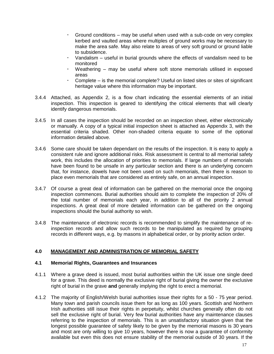- Ground conditions may be useful when used with a sub-code on very complex kerbed and vaulted areas where multiples of ground works may be necessary to make the area safe. May also relate to areas of very soft ground or ground liable to subsidence.
- Vandalism useful in burial grounds where the effects of vandalism need to be monitored
- Weathering may be useful where soft stone memorials utilised in exposed areas
- Complete is the memorial complete? Useful on listed sites or sites of significant heritage value where this information may be important.
- 3.4.4 Attached, as Appendix 2, is a flow chart indicating the essential elements of an initial inspection. This inspection is geared to identifying the critical elements that will clearly identify dangerous memorials.
- 3.4.5 In all cases the inspection should be recorded on an inspection sheet, either electronically or manually. A copy of a typical initial inspection sheet is attached as Appendix 3, with the essential criteria shaded. Other non-shaded criteria equate to some of the optional information detailed above.
- 3.4.6 Some care should be taken dependant on the results of the inspection. It is easy to apply a consistent rule and ignore additional risks. Risk assessment is central to all memorial safety work, this includes the allocation of priorities to memorials. If large numbers of memorials have been found to be unsafe in any particular section and there is an underlying concern that, for instance, dowels have not been used on such memorials, then there is reason to place even memorials that are considered as entirely safe, on an annual inspection.
- 3.4.7 Of course a great deal of information can be gathered on the memorial once the ongoing inspection commences. Burial authorities should aim to complete the inspection of 20% of the total number of memorials each year, in addition to all of the priority 2 annual inspections. A great deal of more detailed information can be gathered on the ongoing inspections should the burial authority so wish.
- 3.4.8 The maintenance of electronic records is recommended to simplify the maintenance of reinspection records and allow such records to be manipulated as required by grouping records in different ways, e.g. by masons in alphabetical order, or by priority action order.

# **4.0 MANAGEMENT AND ADMINISTRATION OF MEMORIAL SAFETY**

# **4.1 Memorial Rights, Guarantees and Insurances**

- 4.1.1 Where a grave deed is issued, most burial authorities within the UK issue one single deed for a grave. This deed is normally the exclusive right of burial giving the owner the exclusive right of burial in the grave **and** generally implying the right to erect a memorial.
- 4.1.2 The majority of English/Welsh burial authorities issue their rights for a 50 75 year period. Many town and parish councils issue them for as long as 100 years. Scottish and Northern Irish authorities still issue their rights in perpetuity, whilst churches generally often do not sell the exclusive right of burial. Very few burial authorities have any maintenance clauses referring to the inspection of memorials. This is an unsatisfactory situation given that the longest possible guarantee of safety likely to be given by the memorial masons is 30 years and most are only willing to give 10 years, however there is now a guarantee of conformity available but even this does not ensure stability of the memorial outside of 30 years. If the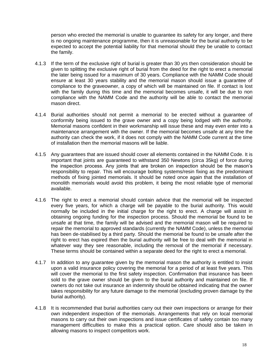person who erected the memorial is unable to guarantee its safety for any longer, and there is no ongoing maintenance programme, then it is unreasonable for the burial authority to be expected to accept the potential liability for that memorial should they be unable to contact the family.

- 4.1.3 If the term of the exclusive right of burial is greater than 30 yrs then consideration should be given to splitting the exclusive right of burial from the deed for the right to erect a memorial the later being issued for a maximum of 30 years. Compliance with the NAMM Code should ensure at least 30 years stability and the memorial mason should issue a guarantee of compliance to the graveowner, a copy of which will be maintained on file. If contact is lost with the family during this time and the memorial becomes unsafe, it will be due to non compliance with the NAMM Code and the authority will be able to contact the memorial mason direct.
- 4.1.4 Burial authorities should not permit a memorial to be erected without a guarantee of conformity being issued to the grave owner and a copy being lodged with the authority. Memorial masons confident in their workmanship will issue these and may even enter into a maintenance arrangement with the owner. If the memorial becomes unsafe at any time the authority can check the work, if it does not comply with the NAMM Code current at the time of installation then the memorial masons will be liable.
- 4.1.5 Any guarantees that are issued should cover all elements contained in the NAMM Code. It is important that joints are guaranteed to withstand 350 Newtons (circa 35kg) of force during the inspection process. Any joints that are broken on inspection should be the mason"s responsibility to repair. This will encourage bolting systems/resin fixing as the predominant methods of fixing jointed memorials. It should be noted once again that the installation of monolith memorials would avoid this problem, it being the most reliable type of memorial available.
- 4.1.6 The right to erect a memorial should contain advice that the memorial will be inspected every five years, for which a charge will be payable to the burial authority. This would normally be included in the initial charge for the right to erect. A charge will assist in obtaining ongoing funding for the inspection process. Should the memorial be found to be unsafe at that time, the family will be advised and the memorial mason will be required to repair the memorial to approved standards (currently the NAMM Code), unless the memorial has been de-stabilised by a third party. Should the memorial be found to be unsafe after the right to erect has expired then the burial authority will be free to deal with the memorial in whatever way they see reasonable, including the removal of the memorial if necessary. These terms should be contained within a separate deed for the right to erect a memorial.
- 4.1.7 In addition to any guarantee given by the memorial mason the authority is entitled to insist upon a valid insurance policy covering the memorial for a period of at least five years. This will cover the memorial to the first safety inspection. Confirmation that insurance has been sold to the grave owner should be given to the burial authority and maintained on file. If owners do not take out insurance an indemnity should be obtained indicating that the owner takes responsibility for any future damage to the memorial (excluding proven damage by the burial authority).
- 4.1.8 It is recommended that burial authorities carry out their own inspections or arrange for their own independent inspection of the memorials. Arrangements that rely on local memorial masons to carry out their own inspections and issue certificates of safety contain too many management difficulties to make this a practical option. Care should also be taken in allowing masons to inspect competitors work.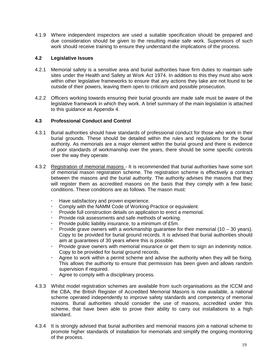4.1.9 Where independent inspectors are used a suitable specification should be prepared and due consideration should be given to the resulting make safe work. Supervisors of such work should receive training to ensure they understand the implications of the process.

# **4.2 Legislative Issues**

- 4.2.1 Memorial safety is a sensitive area and burial authorities have firm duties to maintain safe sites under the Health and Safety at Work Act 1974. In addition to this they must also work within other legislative frameworks to ensure that any actions they take are not found to be outside of their powers, leaving them open to criticism and possible prosecution.
- 4.2.2 Officers working towards ensuring their burial grounds are made safe must be aware of the legislative framework in which they work. A brief summary of the main legislation is attached to this guidance as Appendix 4.

# **4.3 Professional Conduct and Control**

- 4.3.1 Burial authorities should have standards of professional conduct for those who work in their burial grounds. These should be detailed within the rules and regulations for the burial authority. As memorials are a major element within the burial ground and there is evidence of poor standards of workmanship over the years, there should be some specific controls over the way they operate.
- 4.3.2 Registration of memorial masons It is recommended that burial authorities have some sort of memorial mason registration scheme. The registration scheme is effectively a contract between the masons and the burial authority. The authority advises the masons that they will register them as accredited masons on the basis that they comply with a few basic conditions. These conditions are as follows. The mason must:
	- Have satisfactory and proven experience.
	- Comply with the NAMM Code of Working Practice or equivalent.
	- Provide full construction details on application to erect a memorial.
	- Provide risk assessments and safe methods of working.
	- Provide public liability insurance, to a minimum of £5m.
	- Provide grave owners with a workmanship guarantee for their memorial  $(10 30 \text{ years})$ . Copy to be provided for burial ground records. It is advised that burial authorities should aim at guarantees of 30 years where this is possible.
	- Provide grave owners with memorial insurance or get them to sign an indemnity notice. Copy to be provided for burial ground records.
	- Agree to work within a permit scheme and advise the authority when they will be fixing. This allows the authority to ensure that permission has been given and allows random supervision if required.
	- Agree to comply with a disciplinary process.
- 4.3.3 Whilst model registration schemes are available from such organisations as the ICCM and the CBA, the British Register of Accredited Memorial Masons is now available, a national scheme operated independently to improve safety standards and competency of memorial masons. Burial authorities should consider the use of masons, accredited under this scheme, that have been able to prove their ability to carry out installations to a high standard.
- 4.3.4 It is strongly advised that burial authorities and memorial masons join a national scheme to promote higher standards of installation for memorials and simplify the ongoing monitoring of the process.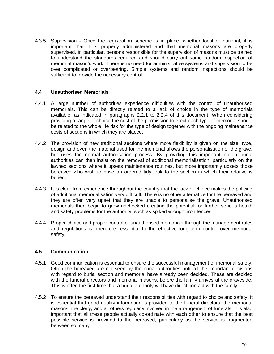4.3.5 Supervision - Once the registration scheme is in place, whether local or national, it is important that it is properly administered and that memorial masons are properly supervised. In particular, persons responsible for the supervision of masons must be trained to understand the standards required and should carry out some random inspection of memorial mason"s work. There is no need for administrative systems and supervision to be over complicated or overbearing. Simple systems and random inspections should be sufficient to provide the necessary control.

# **4.4 Unauthorised Memorials**

- 4.4.1 A large number of authorities experience difficulties with the control of unauthorised memorials. This can be directly related to a lack of choice in the type of memorials available, as indicated in paragraphs 2.2.1 to 2.2.4 of this document. When considering providing a range of choice the cost of the permission to erect each type of memorial should be related to the whole life risk for the type of design together with the ongoing maintenance costs of sections in which they are placed.
- 4.4.2 The provision of new traditional sections where more flexibility is given on the size, type, design and even the material used for the memorial allows the personalisation of the grave, but uses the normal authorisation process. By providing this important option burial authorities can then insist on the removal of additional memorialisation, particularly on the lawned sections where it upsets maintenance routines, but more importantly upsets those bereaved who wish to have an ordered tidy look to the section in which their relative is buried.
- 4.4.3 It is clear from experience throughout the country that the lack of choice makes the policing of additional memorialisation very difficult. There is no other alternative for the bereaved and they are often very upset that they are unable to personalise the grave. Unauthorised memorials then begin to grow unchecked creating the potential for further serious health and safety problems for the authority, such as spiked wrought iron fences.
- 4.4.4 Proper choice and proper control of unauthorised memorials through the management rules and regulations is, therefore, essential to the effective long-term control over memorial safety.

# **4.5 Communication**

- 4.5.1 Good communication is essential to ensure the successful management of memorial safety. Often the bereaved are not seen by the burial authorities until all the important decisions with regard to burial section and memorial have already been decided. These are decided with the funeral directors and memorial masons, before the family arrives at the graveside. This is often the first time that a burial authority will have direct contact with the family.
- 4.5.2 To ensure the bereaved understand their responsibilities with regard to choice and safety, it is essential that good quality information is provided to the funeral directors, the memorial masons, the clergy and all others regularly involved in the arrangement of funerals. It is also important that all these people actually co-ordinate with each other to ensure that the best possible service is provided to the bereaved, particularly as the service is fragmented between so many.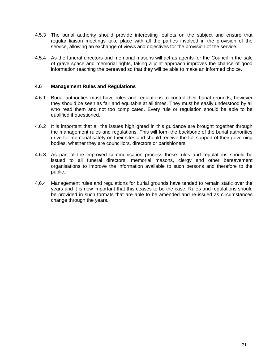- 4.5.3 The burial authority should provide interesting leaflets on the subject and ensure that regular liaison meetings take place with all the parties involved in the provision of the service, allowing an exchange of views and objectives for the provision of the service.
- 4.5.4 As the funeral directors and memorial masons will act as agents for the Council in the sale of grave space and memorial rights, taking a joint approach improves the chance of good information reaching the bereaved so that they will be able to make an informed choice.

# **4.6 Management Rules and Regulations**

- 4.6.1 Burial authorities must have rules and regulations to control their burial grounds, however they should be seen as fair and equitable at all times. They must be easily understood by all who read them and not too complicated. Every rule or regulation should be able to be qualified if questioned.
- 4.6.2 It is important that all the issues highlighted in this guidance are brought together through the management rules and regulations. This will form the backbone of the burial authorities drive for memorial safety on their sites and should receive the full support of their governing bodies, whether they are councillors, directors or parishioners.
- 4.6.3 As part of the improved communication process these rules and regulations should be issued to all funeral directors, memorial masons, clergy and other bereavement organisations to improve the information available to such persons and therefore to the public.
- 4.6.4 Management rules and regulations for burial grounds have tended to remain static over the years and it is now important that this ceases to be the case. Rules and regulations should be provided in such formats that are able to be amended and re-issued as circumstances change through the years.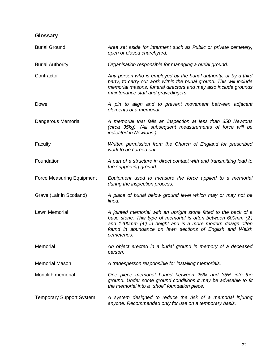# **Glossary**

| <b>Burial Ground</b>             | Area set aside for interment such as Public or private cemetery,<br>open or closed churchyard.                                                                                                                                                                             |
|----------------------------------|----------------------------------------------------------------------------------------------------------------------------------------------------------------------------------------------------------------------------------------------------------------------------|
| <b>Burial Authority</b>          | Organisation responsible for managing a burial ground.                                                                                                                                                                                                                     |
| Contractor                       | Any person who is employed by the burial authority, or by a third<br>party, to carry out work within the burial ground. This will include<br>memorial masons, funeral directors and may also include grounds<br>maintenance staff and gravediggers.                        |
| Dowel                            | A pin to align and to prevent movement between adjacent<br>elements of a memorial.                                                                                                                                                                                         |
| Dangerous Memorial               | A memorial that fails an inspection at less than 350 Newtons<br>(circa 35kg). (All subsequent measurements of force will be<br>indicated in Newtons.)                                                                                                                      |
| Faculty                          | Written permission from the Church of England for prescribed<br>work to be carried out.                                                                                                                                                                                    |
| Foundation                       | A part of a structure in direct contact with and transmitting load to<br>the supporting ground.                                                                                                                                                                            |
| <b>Force Measuring Equipment</b> | Equipment used to measure the force applied to a memorial<br>during the inspection process.                                                                                                                                                                                |
| Grave (Lair in Scotland)         | A place of burial below ground level which may or may not be<br>lined.                                                                                                                                                                                                     |
| Lawn Memorial                    | A jointed memorial with an upright stone fitted to the back of a<br>base stone. This type of memorial is often between 600mm (2)<br>and 1200mm (4') in height and is a more modern design often<br>found in abundance on lawn sections of English and Welsh<br>cemeteries. |
| Memorial                         | An object erected in a burial ground in memory of a deceased<br>person.                                                                                                                                                                                                    |
| <b>Memorial Mason</b>            | A tradesperson responsible for installing memorials.                                                                                                                                                                                                                       |
| Monolith memorial                | One piece memorial buried between 25% and 35% into the<br>ground. Under some ground conditions it may be advisable to fit<br>the memorial into a "shoe" foundation piece.                                                                                                  |
| <b>Temporary Support System</b>  | A system designed to reduce the risk of a memorial injuring<br>anyone. Recommended only for use on a temporary basis.                                                                                                                                                      |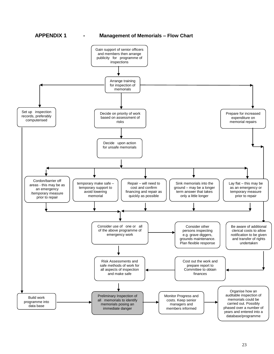# **APPENDIX 1 - Management of Memorials – Flow Chart**

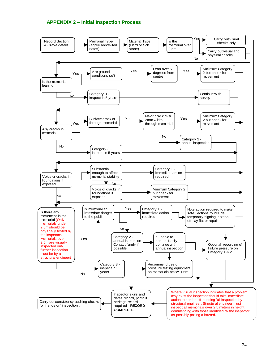# **APPENDIX 2 – Initial Inspection Process**

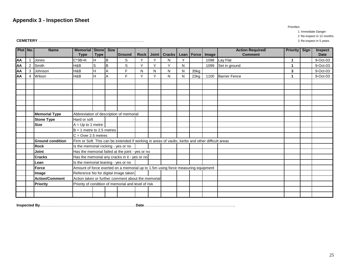# **Appendix 3 - Inspection Sheet**

Priorities

1 Immediate Danger 2 Re-inspect in 12 months

**CEMETERY** ………………………………………………………………………… 3 Re-inspect in 5 years

| Plot No. |   | <b>Name</b>             | <b>Memorial Stone</b><br><b>Type</b>                                                              | <b>Type</b>  | <b>Size</b> | Ground | <b>Rock</b> | <b>Joint</b> | <b>Cracks</b> |   | Lean   Force | Image | <b>Action Required/</b><br><b>Comment</b> | <b>Priority Sign</b> | <b>Inspect</b><br><b>Date</b> |
|----------|---|-------------------------|---------------------------------------------------------------------------------------------------|--------------|-------------|--------|-------------|--------------|---------------|---|--------------|-------|-------------------------------------------|----------------------|-------------------------------|
| ΑА       |   | Jones                   | $C*3B+K$                                                                                          | H            | Iв          | S      | Y           | $\checkmark$ | N             | Υ |              | 1098  | Lay Flat                                  | 1                    | 9-Oct-03                      |
| AA       | 2 | Smith                   | H&B                                                                                               | $\mathsf{s}$ | lв          | S      | $\check{ }$ | $\checkmark$ | Υ             | N |              | 1099  | Set in ground                             | 1                    | 9-Oct-03                      |
| AA       | 3 | Johnson                 | H&B                                                                                               | H            | A           | F      | N           | N            | N             | N | 35kg         |       |                                           | 3                    | 9-Oct-03                      |
| AA       | 4 | Wilson                  | H&B                                                                                               | H            | A           | F      | Y           | Y            | N             | N | 22kg         | 1100  | <b>Barrier Fence</b>                      | 1                    | 9-Oct-03                      |
|          |   |                         |                                                                                                   |              |             |        |             |              |               |   |              |       |                                           |                      |                               |
|          |   |                         |                                                                                                   |              |             |        |             |              |               |   |              |       |                                           |                      |                               |
|          |   |                         |                                                                                                   |              |             |        |             |              |               |   |              |       |                                           |                      |                               |
|          |   |                         |                                                                                                   |              |             |        |             |              |               |   |              |       |                                           |                      |                               |
|          |   |                         |                                                                                                   |              |             |        |             |              |               |   |              |       |                                           |                      |                               |
|          |   |                         |                                                                                                   |              |             |        |             |              |               |   |              |       |                                           |                      |                               |
|          |   | <b>Memorial Type</b>    | Abbreviation of description of memorial                                                           |              |             |        |             |              |               |   |              |       |                                           |                      |                               |
|          |   | <b>Stone Type</b>       | Hard or soft                                                                                      |              |             |        |             |              |               |   |              |       |                                           |                      |                               |
|          |   | <b>Size</b>             | $A = Up to 1 metre$                                                                               |              |             |        |             |              |               |   |              |       |                                           |                      |                               |
|          |   |                         | $B = 1$ metre to 2.5 metres                                                                       |              |             |        |             |              |               |   |              |       |                                           |                      |                               |
|          |   |                         | $C = Over 2.5 metres$                                                                             |              |             |        |             |              |               |   |              |       |                                           |                      |                               |
|          |   | <b>Ground condition</b> | Firm or Soft. This can be extended if working in areas of vaults, kerbs and other difficult areas |              |             |        |             |              |               |   |              |       |                                           |                      |                               |
|          |   | <b>Rock</b>             | Is the memorial rocking - yes or no                                                               |              |             |        |             |              |               |   |              |       |                                           |                      |                               |
|          |   | <b>Joint</b>            | Has the memorial failed at the joint - yes or no                                                  |              |             |        |             |              |               |   |              |       |                                           |                      |                               |
|          |   | <b>Cracks</b>           | Has the memorial any cracks in it - yes or no                                                     |              |             |        |             |              |               |   |              |       |                                           |                      |                               |
|          |   | Lean                    | Is the memorial leaning - yes or no                                                               |              |             |        |             |              |               |   |              |       |                                           |                      |                               |
|          |   | <b>Force</b>            | Amount of force exerted on a memorial up to 1.5m using force measuring equipment                  |              |             |        |             |              |               |   |              |       |                                           |                      |                               |
|          |   | Image                   | Reference No for digital image taken                                                              |              |             |        |             |              |               |   |              |       |                                           |                      |                               |
|          |   | <b>Action/Comment</b>   | Action taken or further comment about the memorial                                                |              |             |        |             |              |               |   |              |       |                                           |                      |                               |
|          |   | <b>Priority</b>         | Priority of condition of memorial and level of risk                                               |              |             |        |             |              |               |   |              |       |                                           |                      |                               |
|          |   |                         |                                                                                                   |              |             |        |             |              |               |   |              |       |                                           |                      |                               |
|          |   |                         |                                                                                                   |              |             |        |             |              |               |   |              |       |                                           |                      |                               |

**Inspected By**……………………………………………………………………………….. **Date**……………………………………………………………….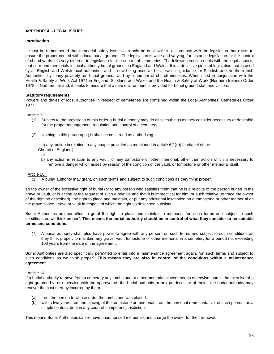#### **APPENDIX 4 - LEGAL ISSUES**

#### **Introduction**

It must be remembered that memorial safety issues can only be dealt with in accordance with the legislation that exists to ensure the proper control within local burial grounds. The legislation is wide and varying, for instance legislation for the control of churchyards it is very different to legislation for the control of cemeteries. The following section deals with the legal aspects that surround memorials in local authority burial grounds in England and Wales. It is a definitive piece of legislation that is used by all English and Welsh local authorities and is now being used as best practice guidance for Scottish and Northern Irish Authorities, by many privately run burial grounds and by a number of church dioceses. When used in conjunction with the Health & Safety at Work Act 1974 in England, Scotland and Wales and the Health & Safety at Work (Northern Ireland) Order 1978 in Northern Ireland, it seeks to ensure that a safe environment is provided for burial ground staff and visitors.

#### **Statutory requirements**

Powers and duties of local authorities in respect of cemeteries are contained within the Local Authorities' Cemeteries Order 1977.

#### Article 3

- (1) Subject to the provisions of this order a burial authority may do all such things as they consider necessary or desirable for the proper management, regulation and control of a cemetery.
- (2) Nothing in this paragraph (1) shall be construed as authorising –

a) any action in relation to any chapel provided as mentioned in article 6(1)(b) [a chapel of the Church of England].

or

b) any action in relation to any vault, or any tombstone or other memorial, other than action which is necessary to remove a danger which arises by reason of the condition of the vault, or tombstone or other memorial itself.

#### Article 10

(1) A burial authority may grant, on such terms and subject to such conditions as they think proper.

To the owner of the exclusive right of burial (or to any person who satisfies them that he is a relative of the person buried in the grave or vault, or is acting at the request of such a relative and that it is impractical for him, or such relative, to trace the owner of the right so described), the right to place and maintain, or put any additional inscription on a tombstone or other memorial on the grave space, grave or vault in respect of which the right so described subsists.

Burial Authorities are permitted to grant the right to place and maintain a memorial "on such terms and subject to such conditions as we think proper". **This means the burial authority should be in control of what they consider to be suitable terms and conditions.**

(7) A burial authority shall also have power to agree with any person, on such terms and subject to such conditions as they think proper, to maintain any grave, vault tombstone or other memorial in a cemetery for a period not exceeding 100 years from the date of the agreement.

Burial Authorities are also specifically permitted to enter into a maintenance agreement again, "on such terms and subject to such conditions as we think proper". **This means they are also in control of the conditions within a maintenance agreement**.

#### Article 14

If a burial authority remove from a cemetery any tombstone or other memorial placed therein otherwise than in the exercise of a right granted by, or otherwise with the approval of, the burial authority or any predecessor of theirs, the burial authority may recover the cost thereby incurred by them-

- (a) from the person to whose order the tombstone was placed;
- (b) within two years from the placing of the tombstone or memorial, from the personal representative of such person, as a simple contract debt in any court of competent jurisdiction.

This means Burial Authorities can remove unauthorised memorials and charge the owner for their removal.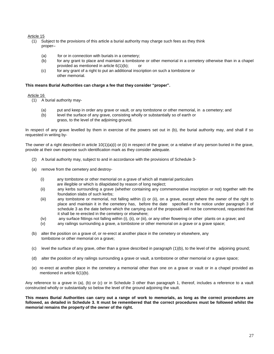#### Article 15

- (1) Subject to the provisions of this article a burial authority may charge such fees as they think proper–
	- (a) for or in connection with burials in a cemetery;
	- (b) for any grant to place and maintain a tombstone or other memorial in a cemetery otherwise than in a chapel provided as mentioned in article 6(1)(b); or
	- (c) for any grant of a right to put an additional inscription on such a tombstone or other memorial.

#### **This means Burial Authorities can charge a fee that they consider "proper".**

#### Article 16

- (1) A burial authority may-
	- (a) put and keep in order any grave or vault, or any tombstone or other memorial, in a cemetery; and
	- (b) level the surface of any grave, consisting wholly or substantially so of earth or
		- grass, to the level of the adjoining ground.

In respect of any grave levelled by them in exercise of the powers set out in (b), the burial authority may, and shall if so requested in writing by-

The owner of a right described in article  $10(1)(a)(i)$  or (ii) in respect of the grave; or a relative of any person buried in the grave, provide at their own expense such identification mark as they consider adequate.

- (2) A burial authority may, subject to and in accordance with the provisions of Schedule 3-
- (a) remove from the cemetery and destroy-
	- (i) any tombstone or other memorial on a grave of which all material particulars
	- are illegible or which is dilapidated by reason of long neglect;
	- (ii) any kerbs surrounding a grave (whether containing any commemorative inscription or not) together with the foundation slabs of such kerbs;
	- (iii) any tombstone or memorial, not falling within (i) or (ii), on a grave, except where the owner of the right to place and maintain it in the cemetery has, before the date specified in the notice under paragraph 3 of schedule 3 as the date before which the carrying out of the proposals will not be commenced, requested that it shall be re-erected in the cemetery or elsewhere;
	- (iv) any surface fittings not falling within (i), (ii), or (iii), or any other flowering or other plants on a grave; and
	- (v) any railings surrounding a grave, a tombstone or other memorial on a grave or a grave space;
- (b) alter the position on a grave of, or re-erect at another place in the cemetery or elsewhere, any tombstone or other memorial on a grave;
- (c) level the surface of any grave, other than a grave described in paragraph (1)(b), to the level of the adjoining ground;
- (d) alter the position of any railings surrounding a grave or vault, a tombstone or other memorial or a grave space;
- (e) re-erect at another place in the cemetery a memorial other than one on a grave or vault or in a chapel provided as mentioned in article 6(1)(b).

Any reference to a grave in (a), (b) or (c) or in Schedule 3 other than paragraph 1, thereof, includes a reference to a vault constructed wholly or substantially so below the level of the ground adjoining the vault.

**This means Burial Authorities can carry out a range of work to memorials, as long as the correct procedures are followed, as detailed in Schedule 3. It must be remembered that the correct procedures must be followed whilst the memorial remains the property of the owner of the right.**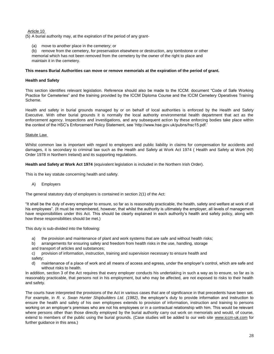#### Article 10

(5) A burial authority may, at the expiration of the period of any grant-

move to another place in the cemetery; or

(b) remove from the cemetery, for preservation elsewhere or destruction, any tombstone or other memorial which has not been removed from the cemetery by the owner of the right to place and maintain it in the cemetery.

#### **This means Burial Authorities can move or remove memorials at the expiration of the period of grant.**

#### **Health and Safety**

This section identifies relevant legislation. Reference should also be made to the ICCM. document "Code of Safe Working Practice for Cemeteries" and the training provided by the ICCM Diploma Course and the ICCM Cemetery Operatives Training Scheme.

Health and safety in burial grounds managed by or on behalf of local authorities is enforced by the Health and Safety Executive. With other burial grounds it is normally the local authority environmental health department that act as the enforcement agency. Inspections and investigations, and any subsequent action by these enforcing bodies take place within the context of the HSC"s Enforcement Policy Statement, see "http://www.hse.gov.uk/pubns/hsc15.pdf."

#### Statute Law

Whilst common law is important with regard to employers and public liability in claims for compensation for accidents and damages, it is secondary to criminal law such as the Health and Safety at Work Act 1974 ( Health and Safety at Work (NI) Order 1978 in Northern Ireland) and its supporting regulations.

**Health and Safety at Work Act 1974** (equivalent legislation is included in the Northern Irish Order).

This is the key statute concerning health and safety.

#### A) Employers

The general statutory duty of employers is contained in section 2(1) of the Act:

"It shall be the duty of every employer to ensure, so far as is reasonably practicable, the health, safety and welfare at work of all his employees". (It must be remembered, however, that whilst the authority is ultimately the employer, all levels of management have responsibilities under this Act. This should be clearly explained in each authority's health and safety policy, along with how these responsibilities should be met.)

This duty is sub-divided into the following:

- a) the provision and maintenance of plant and work systems that are safe and without health risks;
- b) arrangements for ensuring safety and freedom from health risks in the use, handling, storage
- and transport of articles and substances;
- c) provision of information, instruction, training and supervision necessary to ensure health and safety;
- d) maintenance of a place of work and all means of access and egress, under the employer"s control, which are safe and without risks to health.

In addition, section 3 of the Act requires that every employer conducts his undertaking in such a way as to ensure, so far as is reasonably practicable, that persons not in his employment, but who may be affected, are not exposed to risks to their health and safety.

The courts have interpreted the provisions of the Act in various cases that are of significance in that precedents have been set. For example, in *R. v. Swan Hunter Shipbuilders Ltd. (1982)*, the employer"s duty to provide information and instruction to ensure the health and safety of his own employees extends to provision of information, instruction and training to persons working on an employer"s premises who are not his employees or in a contractual relationship with him. This would be relevant where persons other than those directly employed by the burial authority carry out work on memorials and would, of course, extend to members of the public using the burial grounds. (Case studies will be added to our web site [www.iccm-uk.com](http://www.iccm-uk.com/) for further guidance in this area.)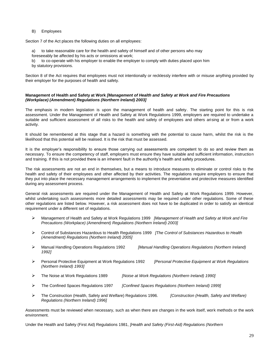#### B) Employees

Section 7 of the Act places the following duties on all employees:

- a) to take reasonable care for the health and safety of himself and of other persons who may
- foreseeably be affected by his acts or omissions at work;
- b) to co-operate with his employer to enable the employer to comply with duties placed upon him
- by statutory provisions.

Section 8 of the Act requires that employees must not intentionally or recklessly interfere with or misuse anything provided by their employer for the purposes of health and safety.

#### **Management of Health and Safety at Work** *[Management of Health and Safety at Work and Fire Precautions (Workplace) (Amendment) Regulations (Northern Ireland) 2003]*

The emphasis in modern legislation is upon the management of health and safety. The starting point for this is risk assessment. Under the Management of Health and Safety at Work Regulations 1999, employers are required to undertake a suitable and sufficient assessment of all risks to the health and safety of employees and others arising at or from a work activity.

It should be remembered at this stage that a hazard is something with the potential to cause harm, whilst the risk is the likelihood that this potential will be realised. It is the risk that must be assessed.

It is the employer"s responsibility to ensure those carrying out assessments are competent to do so and review them as necessary. To ensure the competency of staff, employers must ensure they have suitable and sufficient information, instruction and training. If this is not provided there is an inherent fault in the authority"s health and safety procedures.

The risk assessments are not an end in themselves, but a means to introduce measures to eliminate or control risks to the health and safety of their employees and other affected by their activities. The regulations require employers to ensure that they put into place the necessary management arrangements to implement the preventative and protective measures identified during any assessment process.

General risk assessments are required under the Management of Health and Safety at Work Regulations 1999. However, whilst undertaking such assessments more detailed assessments may be required under other regulations. Some of these other regulations are listed below. However, a risk assessment does not have to be duplicated in order to satisfy an identical requirement under a different set of regulations.

- Management of Health and Safety at Work Regulations 1999 *[Management of Health and Safety at Work and Fire Precautions (Workplace) (Amendment) Regulations (Northern Ireland) 2003]*
- Control of Substances Hazardous to Health Regulations 1999 *[The Control of Substances Hazardous to Health (Amendment) Regulations (Northern Ireland) 2005]*
- Manual Handling Operations Regulations 1992 *[Manual Handling Operations Regulations (Northern Ireland) 1992]*
- Personal Protective Equipment at Work Regulations 1992 *[Personal Protective Equipment at Work Regulations (Northern Ireland) 1993]*
- The Noise at Work Regulations 1989 *[Noise at Work Regulations (Northern Ireland) 1990]*
- The Confined Spaces Regulations 1997 *[Confined Spaces Regulations (Northern Ireland) 1999]*
- The Construction (Health, Safety and Welfare) Regulations 1996. *[Construction (Health, Safety and Welfare) Regulations (Northern Ireland) 1996]*

Assessments must be reviewed when necessary, such as when there are changes in the work itself, work methods or the work environment.

Under the Health and Safety (First Aid) Regulations 1981, *[Health and Safety (First-Aid) Regulations (Northern*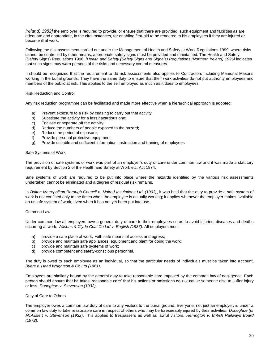*Ireland) 1982]* the employer is required to provide, or ensure that there are provided, such equipment and facilities as are adequate and appropriate, in the circumstances, for enabling first-aid to be rendered to his employees if they are injured or become ill at work.

Following the risk assessment carried out under the Management of Health and Safety at Work Regulations 1999, where risks cannot be controlled by other means, appropriate safety signs must be provided and maintained. The Health and Safety (Safety Signs) Regulations 1996, *[Health and Safety (Safety Signs and Signals) Regulations (Northern Ireland) 1996]* indicates that such signs may warn persons of the risks and necessary control measures.

It should be recognized that the requirement to do risk assessments also applies to Contractors including Memorial Masons working in the burial grounds. They have the same duty to ensure that their work activities do not put authority employees and members of the public at risk. This applies to the self employed as much as it does to employees.

#### Risk Reduction and Control

Any risk reduction programme can be facilitated and made more effective when a hierarchical approach is adopted:

- a) Prevent exposure to a risk by ceasing to carry out that activity.
- b) Substitute the activity for a less hazardous one;
- c) Enclose or separate off the activity;
- d) Reduce the numbers of people exposed to the hazard;
- e) Reduce the period of exposure;
- f) Provide personal protective equipment.
- g) Provide suitable and sufficient information, instruction and training of employees

#### Safe Systems of Work

The provision of safe systems of work was part of an employer"s duty of care under common law and it was made a statutory requirement by Section 2 of the Health and Safety at Work etc. Act 1974.

Safe systems of work are required to be put into place where the hazards identified by the various risk assessments undertaken cannot be eliminated and a degree of residual risk remains.

In *Bolton Metropolitan Borough Council v. Malrod Insulations Ltd. (1993)*, it was held that the duty to provide a safe system of work is not confined only to the times when the employee is actually working; it applies whenever the employer makes available an unsafe system of work, even when it has not yet been put into use.

#### Common Law

Under common law all employers owe a general duty of care to their employees so as to avoid injuries, diseases and deaths occurring at work, *Wilsons & Clyde Coal Co Ltd v. English (1937)*. All employers must:

- a) provide a safe place of work, with safe means of access and egress;
- b) provide and maintain safe appliances, equipment and plant for doing the work;
- c) provide and maintain safe systems of work;
- d) provide competent and safety-conscious personnel.

The duty is owed to each employee as an individual, so that the particular needs of individuals must be taken into account, *Byers v. Head Wrightson & Co Ltd (1961)*.

Employees are similarly bound by the general duty to take reasonable care imposed by the common law of negligence. Each person should ensure that he takes "reasonable care" that his actions or omissions do not cause someone else to suffer injury or loss, *Donoghue v. Stevenson (1932)*.

#### Duty of Care to Others

The employer owes a common law duty of care to any visitors to the burial ground. Everyone, not just an employer, is under a common law duty to take reasonable care in respect of others who may be foreseeably injured by their activities, *Donoghue (or McAlister) v. Stevenson (1932)*. This applies to trespassers as well as lawful visitors, *Herrington v. British Railways Board (1972)*.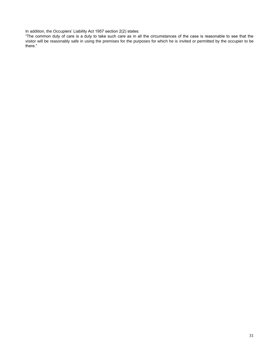In addition, the Occupiers' Liability Act 1957 section 2(2) states:

"The common duty of care is a duty to take such care as in all the circumstances of the case is reasonable to see that the visitor will be reasonably safe in using the premises for the purposes for which he is invited or permitted by the occupier to be there."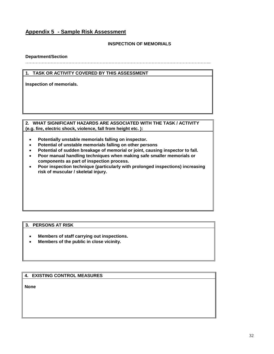# **Appendix 5 - Sample Risk Assessment**

# **INSPECTION OF MEMORIALS**

## **Department/Section**

……………………………………………………………………………………………………………..

## **1. TASK OR ACTIVITY COVERED BY THIS ASSESSMENT**

**Inspection of memorials.**

### **2. WHAT SIGNIFICANT HAZARDS ARE ASSOCIATED WITH THE TASK / ACTIVITY (e.g. fire, electric shock, violence, fall from height etc. ):**

- **Potentially unstable memorials falling on inspector.**
- **Potential of unstable memorials falling on other persons**
- **Potential of sudden breakage of memorial or joint, causing inspector to fall.**
- **Poor manual handling techniques when making safe smaller memorials or components as part of inspection process.**
- **Poor inspection technique (particularly with prolonged inspections) increasing risk of muscular / skeletal injury.**

# **3. PERSONS AT RISK**

- **Members of staff carrying out inspections.**
- **Members of the public in close vicinity.**

# **4. EXISTING CONTROL MEASURES**

**None**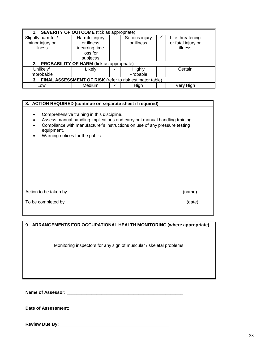| 1. SEVERITY OF OUTCOME (tick as appropriate)                   |  |                |  |                |  |                    |  |  |
|----------------------------------------------------------------|--|----------------|--|----------------|--|--------------------|--|--|
| Slightly harmful /                                             |  | Harmful injury |  | Serious injury |  | Life threatening   |  |  |
| minor injury or                                                |  | or illness     |  | or illness     |  | or fatal injury or |  |  |
| illness                                                        |  | incurring time |  |                |  | illness            |  |  |
|                                                                |  | loss for       |  |                |  |                    |  |  |
|                                                                |  | subject/s      |  |                |  |                    |  |  |
| <b>PROBABILITY OF HARM</b> (tick as appropriate)<br>2.         |  |                |  |                |  |                    |  |  |
| Unlikely/                                                      |  | Likely         |  | Highly         |  | Certain            |  |  |
| Improbable                                                     |  |                |  | Probable       |  |                    |  |  |
| FINAL ASSESSMENT OF RISK (refer to risk estimator table)<br>3. |  |                |  |                |  |                    |  |  |
| Low                                                            |  | Medium         |  | High           |  | Very High          |  |  |

# **8. ACTION REQUIRED (continue on separate sheet if required)**

- Comprehensive training in this discipline.
- Assess manual handling implications and carry out manual handling training
- Compliance with manufacturer's instructions on use of any pressure testing equipment.
- Warning notices for the public

| Action to be taken by | (name) |
|-----------------------|--------|
| To be completed by    | (date) |

| 9. ARRANGEMENTS FOR OCCUPATIONAL HEALTH MONITORING (where appropriate) |
|------------------------------------------------------------------------|
| Monitoring inspectors for any sign of muscular / skeletal problems.    |
|                                                                        |

**Name of Assessor: \_\_\_\_\_\_\_\_\_\_\_\_\_\_\_\_\_\_\_\_\_\_\_\_\_\_\_\_\_\_\_\_\_\_\_\_\_\_\_\_\_\_\_\_\_\_\_**

**Date of Assessment: \_\_\_\_\_\_\_\_\_\_\_\_\_\_\_\_\_\_\_\_\_\_\_\_\_\_\_\_\_\_\_\_\_\_\_\_\_\_\_\_**

**Review Due By: \_\_\_\_\_\_\_\_\_\_\_\_\_\_\_\_\_\_\_\_\_\_\_\_\_\_\_\_\_\_\_\_\_\_\_\_\_\_\_\_\_\_\_\_**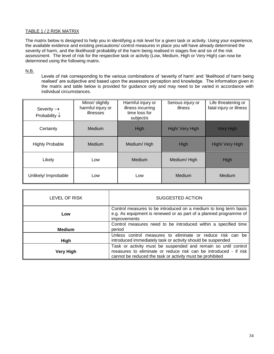# TABLE 1 / 2 RISK MATRIX

The matrix below is designed to help you in identifying a risk level for a given task or activity. Using your experience, the available evidence and existing precautions/ control measures in place you will have already determined the severity of harm, and the likelihood/ probability of the harm being realised in stages five and six of the risk assessment. The level of risk for the respective task or activity (Low, Medium, High or Very High) can now be determined using the following matrix.

# N.B.

Levels of risk corresponding to the various combinations of "severity of harm" and "likelihood of harm being realised" are subjective and based upon the assessors perception and knowledge. The information given in the matrix and table below is provided for guidance only and may need to be varied in accordance with individual circumstances.

| Severity $\rightarrow$<br>Probability $\downarrow$ | Minor/ slightly<br>harmful injury or<br>illnesses | Harmful injury or<br>illness incurring<br>time loss for<br>subject/s | Serious injury or<br>illness | Life threatening or<br>fatal injury or illness |
|----------------------------------------------------|---------------------------------------------------|----------------------------------------------------------------------|------------------------------|------------------------------------------------|
| Certainty                                          | Medium                                            | High                                                                 | High/ Very High              | <b>Very High</b>                               |
| <b>Highly Probable</b>                             | Medium                                            | Medium/High                                                          | High                         | High/ Very High                                |
| Likely                                             | Low                                               | Medium                                                               | Medium/High                  | High                                           |
| Unlikely/ Improbable                               | Low                                               | Low                                                                  | Medium                       | Medium                                         |

| LEVEL OF RISK    | SUGGESTED ACTION                                                                                                                                                                                |
|------------------|-------------------------------------------------------------------------------------------------------------------------------------------------------------------------------------------------|
| Low              | Control measures to be introduced on a medium to long term basis<br>e.g. As equipment is renewed or as part of a planned programme of<br>improvements                                           |
| <b>Medium</b>    | Control measures need to be introduced within a specified time<br>period                                                                                                                        |
| <b>High</b>      | Unless control measures to eliminate or reduce risk can be<br>introduced immediately task or activity should be suspended                                                                       |
| <b>Very High</b> | Task or activity must be suspended and remain so until control<br>measures to eliminate or reduce risk can be introduced - if risk<br>cannot be reduced the task or activity must be prohibited |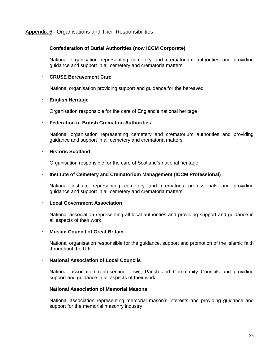# Appendix 6 - Organisations and Their Responsibilities

# **Confederation of Burial Authorities (now ICCM Corporate)**

National organisation representing cemetery and crematorium authorities and providing guidance and support in all cemetery and crematoria matters

# **CRUSE Bereavement Care**

National organisation providing support and guidance for the bereaved

# **English Heritage**

Organisation responsible for the care of England"s national heritage

# **Federation of British Cremation Authorities**

National organisation representing cemetery and crematorium authorities and providing guidance and support in all cemetery and crematoria matters

# **Historic Scotland**

Organisation responsible for the care of Scotland"s national heritage

# **Institute of Cemetery and Crematorium Management (ICCM Professional)**

National institute representing cemetery and crematoria professionals and providing guidance and support in all cemetery and crematoria matters

# **Local Government Association**

National association representing all local authorities and providing support and guidance in all aspects of their work.

# **Muslim Council of Great Britain**

National organisation responsible for the guidance, support and promotion of the Islamic faith throughout the U.K.

# **National Association of Local Councils**

National association representing Town, Parish and Community Councils and providing support and guidance in all aspects of their work

# **National Association of Memorial Masons**

National association representing memorial mason"s interests and providing guidance and support for the memorial masonry industry